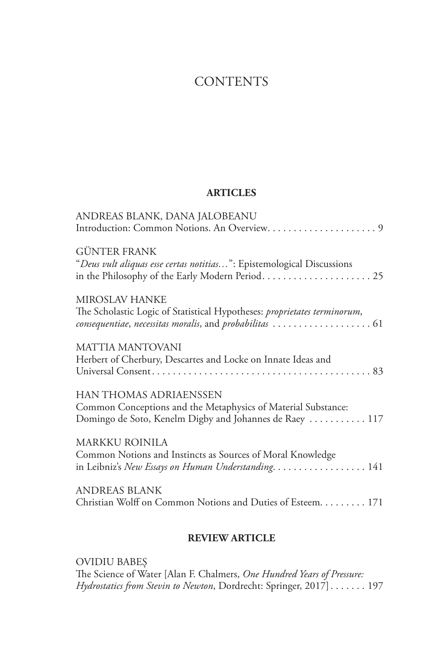## **CONTENTS**

## **ARTICLES**

| ANDREAS BLANK, DANA JALOBEANU                                                                                                                             |
|-----------------------------------------------------------------------------------------------------------------------------------------------------------|
| <b>GÜNTER FRANK</b><br>"Deus vult aliquas esse certas notitias": Epistemological Discussions                                                              |
| <b>MIROSLAV HANKE</b><br>The Scholastic Logic of Statistical Hypotheses: proprietates terminorum,                                                         |
| <b>MATTIA MANTOVANI</b><br>Herbert of Cherbury, Descartes and Locke on Innate Ideas and                                                                   |
| <b>HAN THOMAS ADRIAENSSEN</b><br>Common Conceptions and the Metaphysics of Material Substance:<br>Domingo de Soto, Kenelm Digby and Johannes de Raey  117 |
| <b>MARKKU ROINILA</b><br>Common Notions and Instincts as Sources of Moral Knowledge<br>in Leibniz's New Essays on Human Understanding. 141                |
| <b>ANDREAS BLANK</b><br>Christian Wolff on Common Notions and Duties of Esteem. 171                                                                       |

## **REVIEW ARTICLE**

OVIDIU BABEȘ The Science of Water [Alan F. Chalmers, *One Hundred Years of Pressure: Hydrostatics from Stevin to Newton*, Dordrecht: Springer, 2017]....... 197